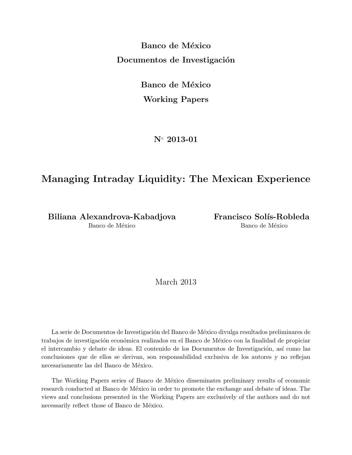**Banco de México Documentos de Investigación** 

> **Banco de México Working Papers**

> > **N***◦* **2013-01**

# **Managing Intraday Liquidity: The Mexican Experience**

Biliana Alexandrova-Kabadjova **Francisco Solís-Robleda** Banco de México Banco de México

March 2013

La serie de Documentos de Investigación del Banco de México divulga resultados preliminares de trabajos de investigación económica realizados en el Banco de México con la finalidad de propiciar el intercambio y debate de ideas. El contenido de los Documentos de Investigación, así como las conclusiones que de ellos se derivan, son responsabilidad exclusiva de los autores y no reflejan necesariamente las del Banco de México.

The Working Papers series of Banco de México disseminates preliminary results of economic research conducted at Banco de México in order to promote the exchange and debate of ideas. The views and conclusions presented in the Working Papers are exclusively of the authors and do not necessarily reflect those of Banco de México.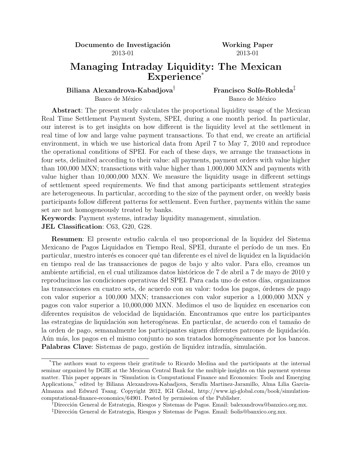**Documento de Investigación Working Paper** 2013-01 2013-01

## **Managing Intraday Liquidity: The Mexican Experience**\*

## Biliana Alexandrova-Kabadjova<sup>†</sup> Francisco Solís-Robleda<sup>‡</sup>

Banco de México Banco de México

**Abstract**: The present study calculates the proportional liquidity usage of the Mexican Real Time Settlement Payment System, SPEI, during a one month period. In particular, our interest is to get insights on how different is the liquidity level at the settlement in real time of low and large value payment transactions. To that end, we create an artificial environment, in which we use historical data from April 7 to May 7, 2010 and reproduce the operational conditions of SPEI. For each of these days, we arrange the transactions in four sets, delimited according to their value: all payments, payment orders with value higher than 100,000 MXN; transactions with value higher than 1,000,000 MXN and payments with value higher than 10,000,000 MXN. We measure the liquidity usage in different settings of settlement speed requirements. We find that among participants settlement strategies are heterogeneous. In particular, according to the size of the payment order, on weekly basis participants follow different patterns for settlement. Even further, payments within the same set are not homogeneously treated by banks.

**Keywords**: Payment systems, intraday liquidity management, simulation.

**JEL Classification**: C63, G20, G28.

**Resumen**: El presente estudio calcula el uso proporcional de la liquidez del Sistema Mexicano de Pagos Liquidados en Tiempo Real, SPEI, durante el período de un mes. En particular, nuestro interés es conocer qué tan diferente es el nivel de liquidez en la liquidación en tiempo real de las transacciones de pagos de bajo y alto valor. Para ello, creamos un ambiente artificial, en el cual utilizamos datos históricos de 7 de abril a 7 de mayo de 2010 y reproducimos las condiciones operativas del SPEI. Para cada uno de estos días, organizamos las transacciones en cuatro sets, de acuerdo con su valor: todos los pagos, órdenes de pago con valor superior a 100,000 MXN; transacciones con valor superior a 1,000,000 MXN y pagos con valor superior a 10,000,000 MXN. Medimos el uso de liquidez en escenarios con diferentes requisitos de velocidad de liquidación. Encontramos que entre los participantes las estrategias de liquidación son heterogéneas. En particular, de acuerdo con el tamaño de la orden de pago, semanalmente los participantes siguen diferentes patrones de liquidación. Aún más, los pagos en el mismo conjunto no son tratados homogéneamente por los bancos. **Palabras Clave**: Sistemas de pago, gestión de liquidez intradía, simulación.

<sup>\*</sup>The authors want to express their gratitude to Ricardo Medina and the participants at the internal seminar organized by DGIE at the Mexican Central Bank for the multiple insights on this payment systems matter. This paper appears in "Simulation in Computational Finance and Economics: Tools and Emerging Applications," edited by Biliana Alexandrova-Kabadjova, Seraf´ın Martinez-Jaramillo, Alma Lilia Garcia-Almanza and Edward Tsang. Copyright 2012, IGI Global, http://www.igi-global.com/book/simulationcomputational-finance-economics/64901. Posted by permission of the Publisher.

<sup>&</sup>lt;sup>†</sup>Dirección General de Estrategia, Riesgos y Sistemas de Pagos. Email: balexandrova@banxico.org.mx. <sup>‡</sup>Dirección General de Estrategia, Riesgos y Sistemas de Pagos. Email: fsolis@banxico.org.mx.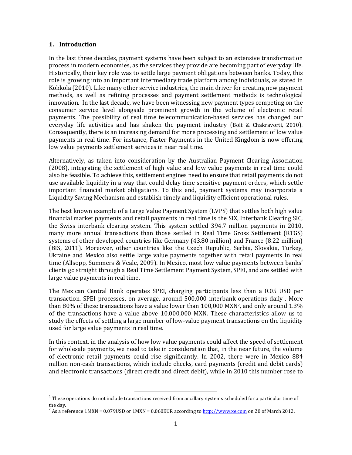#### **1. Introduction**

In the last three decades, payment systems have been subject to an extensive transformation process in modern economies, as the services they provide are becoming part of everyday life. Historically, their key role was to settle large payment obligations between banks. Today, this role is growing into an important intermediary trade platform among individuals, as stated in Kokkola (2010). Like many other service industries, the main driver for creating new payment methods, as well as refining processes and payment settlement methods is technological innovation. In the last decade, we have been witnessing new payment types competing on the consumer service level alongside prominent growth in the volume of electronic retail payments. The possibility of real time telecommunication-based services has changed our everyday life activities and has shaken the payment industry (Bolt & Chakravorti, 2010). Consequently, there is an increasing demand for more processing and settlement of low value payments in real time. For instance, Faster Payments in the United Kingdom is now offering low value payments settlement services in near real time.

Alternatively, as taken into consideration by the Australian Payment Clearing Association (2008), integrating the settlement of high value and low value payments in real time could also be feasible. To achieve this, settlement engines need to ensure that retail payments do not use available liquidity in a way that could delay time sensitive payment orders, which settle important financial market obligations. To this end, payment systems may incorporate a Liquidity Saving Mechanism and establish timely and liquidity efficient operational rules.

The best known example of a Large Value Payment System (LVPS) that settles both high value financial market payments and retail payments in real time is the SIX, Interbank Clearing SIC, the Swiss interbank clearing system. This system settled 394.7 million payments in 2010, many more annual transactions than those settled in Real Time Gross Settlement (RTGS) systems of other developed countries like Germany (43.80 million) and France (8.22 million) (BIS, 2011). Moreover, other countries like the Czech Republic, Serbia, Slovakia, Turkey, Ukraine and Mexico also settle large value payments together with retail payments in real time (Allsopp, Summers & Veale, 2009). In Mexico, most low value payments between banks' clients go straight through a Real Time Settlement Payment System, SPEI, and are settled with large value payments in real time.

The Mexican Central Bank operates SPEI, charging participants less than a 0.05 USD per transaction. SPEI processes, on average, around  $500,000$  interbank operations daily<sup>1</sup>. More than 80% of these transactions have a value lower than 100,000 MXN2, and only around 1.3% of the transactions have a value above 10,000,000 MXN. These characteristics allow us to study the effects of settling a large number of low-value payment transactions on the liquidity used for large value payments in real time.

In this context, in the analysis of how low value payments could affect the speed of settlement for wholesale payments, we need to take in consideration that, in the near future, the volume of electronic retail payments could rise significantly. In 2002, there were in Mexico 884 million non-cash transactions, which include checks, card payments (credit and debit cards) and electronic transactions (direct credit and direct debit), while in 2010 this number rose to

l

 $^1$  These operations do not include transactions received from ancillary systems scheduled for a particular time of the day.

<sup>&</sup>lt;sup>2</sup> As a reference 1MXN = 0.079USD or 1MXN = 0.060EUR according to  $\frac{http://www.xe.com}{http://www.xe.com}$  on 20 of March 2012.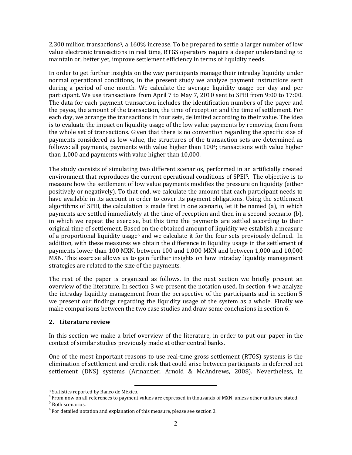2,300 million transactions3, a 160% increase. To be prepared to settle a larger number of low value electronic transactions in real time, RTGS operators require a deeper understanding to maintain or, better yet, improve settlement efficiency in terms of liquidity needs.

In order to get further insights on the way participants manage their intraday liquidity under normal operational conditions, in the present study we analyze payment instructions sent during a period of one month. We calculate the average liquidity usage per day and per participant. We use transactions from April 7 to May 7, 2010 sent to SPEI from 9:00 to 17:00. The data for each payment transaction includes the identification numbers of the payer and the payee, the amount of the transaction, the time of reception and the time of settlement. For each day, we arrange the transactions in four sets, delimited according to their value. The idea is to evaluate the impact on liquidity usage of the low value payments by removing them from the whole set of transactions. Given that there is no convention regarding the specific size of payments considered as low value, the structures of the transaction sets are determined as follows: all payments, payments with value higher than  $100<sup>4</sup>$ ; transactions with value higher than 1,000 and payments with value higher than 10,000.

The study consists of simulating two different scenarios, performed in an artificially created environment that reproduces the current operational conditions of SPEI5. The objective is to measure how the settlement of low value payments modifies the pressure on liquidity (either positively or negatively). To that end, we calculate the amount that each participant needs to have available in its account in order to cover its payment obligations. Using the settlement algorithms of SPEI, the calculation is made first in one scenario, let it be named (a), in which payments are settled immediately at the time of reception and then in a second scenario (b), in which we repeat the exercise, but this time the payments are settled according to their original time of settlement. Based on the obtained amount of liquidity we establish a measure of a proportional liquidity usage<sup>6</sup> and we calculate it for the four sets previously defined. In addition, with these measures we obtain the difference in liquidity usage in the settlement of payments lower than 100 MXN, between 100 and 1,000 MXN and between 1,000 and 10,000 MXN. This exercise allows us to gain further insights on how intraday liquidity management strategies are related to the size of the payments.

The rest of the paper is organized as follows. In the next section we briefly present an overview of the literature. In section 3 we present the notation used. In section 4 we analyze the intraday liquidity management from the perspective of the participants and in section 5 we present our findings regarding the liquidity usage of the system as a whole. Finally we make comparisons between the two case studies and draw some conclusions in section 6.

#### **2. Literature review**

In this section we make a brief overview of the literature, in order to put our paper in the context of similar studies previously made at other central banks.

One of the most important reasons to use real-time gross settlement (RTGS) systems is the elimination of settlement and credit risk that could arise between participants in deferred net settlement (DNS) systems (Armantier, Arnold & McAndrews, 2008). Nevertheless, in

 $\overline{a}$ 

<sup>3</sup> Statistics reported by Banco de México.

<sup>&</sup>lt;sup>4</sup> From now on all references to payment values are expressed in thousands of MXN, unless other units are stated.

<sup>&</sup>lt;sup>5</sup> Both scenarios.

 $6$  For detailed notation and explanation of this measure, please see section 3.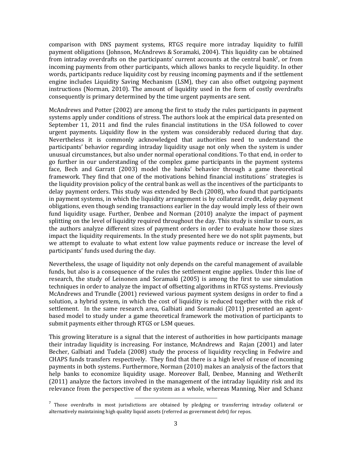comparison with DNS payment systems, RTGS require more intraday liquidity to fulfill payment obligations (Johnson, McAndrews & Soramaki, 2004). This liquidity can be obtained from intraday overdrafts on the participants' current accounts at the central bank<sup>7</sup>, or from incoming payments from other participants, which allows banks to recycle liquidity. In other words, participants reduce liquidity cost by reusing incoming payments and if the settlement engine includes Liquidity Saving Mechanism (LSM), they can also offset outgoing payment instructions (Norman, 2010). The amount of liquidity used in the form of costly overdrafts consequently is primary determined by the time urgent payments are sent.

McAndrews and Potter (2002) are among the first to study the rules participants in payment systems apply under conditions of stress. The authors look at the empirical data presented on September 11, 2011 and find the rules financial institutions in the USA followed to cover urgent payments. Liquidity flow in the system was considerably reduced during that day. Nevertheless it is commonly acknowledged that authorities need to understand the participants' behavior regarding intraday liquidity usage not only when the system is under unusual circumstances, but also under normal operational conditions. To that end, in order to go further in our understanding of the complex game participants in the payment systems face, Bech and Garratt (2003) model the banks' behavior through a game theoretical framework. They find that one of the motivations behind financial institutions´ strategies is the liquidity provision policy of the central bank as well as the incentives of the participants to delay payment orders. This study was extended by Bech (2008), who found that participants in payment systems, in which the liquidity arrangement is by collateral credit, delay payment obligations, even though sending transactions earlier in the day would imply less of their own fund liquidity usage. Further, Denbee and Norman (2010) analyze the impact of payment splitting on the level of liquidity required throughout the day. This study is similar to ours, as the authors analyze different sizes of payment orders in order to evaluate how those sizes impact the liquidity requirements. In the study presented here we do not split payments, but we attempt to evaluate to what extent low value payments reduce or increase the level of participants' funds used during the day.

Nevertheless, the usage of liquidity not only depends on the careful management of available funds, but also is a consequence of the rules the settlement engine applies. Under this line of research, the study of Leinonen and Soramaki (2005) is among the first to use simulation techniques in order to analyze the impact of offsetting algorithms in RTGS systems. Previously McAndrews and Trundle (2001) reviewed various payment system designs in order to find a solution, a hybrid system, in which the cost of liquidity is reduced together with the risk of settlement. In the same research area, Galbiati and Soramaki (2011) presented an agentbased model to study under a game theoretical framework the motivation of participants to submit payments either through RTGS or LSM queues.

This growing literature is a signal that the interest of authorities in how participants manage their intraday liquidity is increasing. For instance, McAndrews and Rajan (2001) and later Becher, Galbiati and Tudela (2008) study the process of liquidity recycling in Fedwire and CHAPS funds transfers respectively. They find that there is a high level of reuse of incoming payments in both systems. Furthermore, Norman (2010) makes an analysis of the factors that help banks to economize liquidity usage. Moreover Ball, Denbee, Manning and Wetherilt (2011) analyze the factors involved in the management of the intraday liquidity risk and its relevance from the perspective of the system as a whole, whereas Manning, Nier and Schanz

 $\overline{\phantom{a}}$ 

<sup>&</sup>lt;sup>7</sup> Those overdrafts in most jurisdictions are obtained by pledging or transferring intraday collateral or alternatively maintaining high quality liquid assets (referred as government debt) for repos.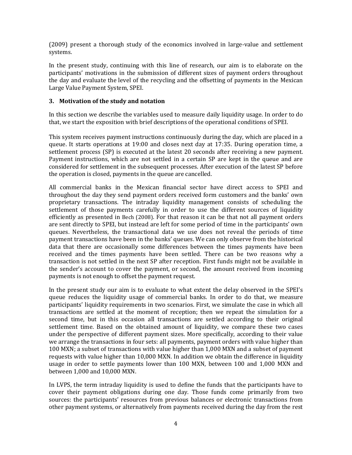(2009) present a thorough study of the economics involved in large-value and settlement systems.

In the present study, continuing with this line of research, our aim is to elaborate on the participants' motivations in the submission of different sizes of payment orders throughout the day and evaluate the level of the recycling and the offsetting of payments in the Mexican Large Value Payment System, SPEI.

### **3. Motivation of the study and notation**

In this section we describe the variables used to measure daily liquidity usage. In order to do that, we start the exposition with brief descriptions of the operational conditions of SPEI.

This system receives payment instructions continuously during the day, which are placed in a queue. It starts operations at 19:00 and closes next day at 17:35. During operation time, a settlement process (SP) is executed at the latest 20 seconds after receiving a new payment. Payment instructions, which are not settled in a certain SP are kept in the queue and are considered for settlement in the subsequent processes. After execution of the latest SP before the operation is closed, payments in the queue are cancelled.

All commercial banks in the Mexican financial sector have direct access to SPEI and throughout the day they send payment orders received form customers and the banks' own proprietary transactions. The intraday liquidity management consists of scheduling the settlement of those payments carefully in order to use the different sources of liquidity efficiently as presented in Bech (2008). For that reason it can be that not all payment orders are sent directly to SPEI, but instead are left for some period of time in the participants' own queues. Nevertheless, the transactional data we use does not reveal the periods of time payment transactions have been in the banks' queues. We can only observe from the historical data that there are occasionally some differences between the times payments have been received and the times payments have been settled. There can be two reasons why a transaction is not settled in the next SP after reception. First funds might not be available in the sender's account to cover the payment, or second, the amount received from incoming payments is not enough to offset the payment request.

In the present study our aim is to evaluate to what extent the delay observed in the SPEI's queue reduces the liquidity usage of commercial banks. In order to do that, we measure participants' liquidity requirements in two scenarios. First, we simulate the case in which all transactions are settled at the moment of reception; then we repeat the simulation for a second time, but in this occasion all transactions are settled according to their original settlement time. Based on the obtained amount of liquidity, we compare these two cases under the perspective of different payment sizes. More specifically, according to their value we arrange the transactions in four sets: all payments, payment orders with value higher than 100 MXN; a subset of transactions with value higher than 1,000 MXN and a subset of payment requests with value higher than 10,000 MXN. In addition we obtain the difference in liquidity usage in order to settle payments lower than 100 MXN, between 100 and 1,000 MXN and between 1,000 and 10,000 MXN.

In LVPS, the term intraday liquidity is used to define the funds that the participants have to cover their payment obligations during one day. Those funds come primarily from two sources: the participants' resources from previous balances or electronic transactions from other payment systems, or alternatively from payments received during the day from the rest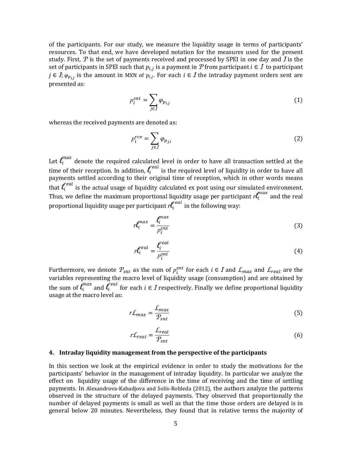of the participants. For our study, we measure the liquidity usage in terms of participants' resources. To that end, we have developed notation for the measures used for the present study. First,  $P$  is the set of payments received and processed by SPEI in one day and  $I$  is the set of participants in SPEI such that  $p_{i,j}$  is a payment in P from participant  $i \in I$  to participant  $j \in I$ ;  $\varphi_{p_{i,j}}$  is the amount in MXN of  $p_{i,j}$ . For each  $i \in I$  the intraday payment orders sent are presented as:

$$
p_i^{snt} = \sum_{j \in I} \varphi_{p_{i,j}} \tag{1}
$$

whereas the received payments are denoted as:

$$
p_i^{rcv} = \sum_{j \in I} \varphi_{p_{j,i}} \tag{2}
$$

Let  $l_i^{max}$  denote the required calculated level in order to have all transaction settled at the time of their reception. In addition,  $\bm{l}^{real}_{i}$  is the required level of liquidity in order to have all payments settled according to their original time of reception, which in other words means that  $\ell_i^{real}$  is the actual usage of liquidity calculated ex post using our simulated environment. Thus, we define the maximum proportional liquidity usage per participant  $r \ell_i^{max}$  and the real proportional liquidity usage per participant  $\mathcal{H}^{real}_{i}$  in the following way:

$$
r l_i^{max} = \frac{l_i^{max}}{p_i^{sat}}
$$
 (3)

$$
r \mathcal{L}_i^{real} = \frac{\mathcal{L}_i^{real}}{p_i^{snt}} \tag{4}
$$

Furthermore, we denote  $P_{snt}$  as the sum of  $p_i^{snt}$  for each  $i \in I$  and  $\mathcal{L}_{max}$  and  $\mathcal{L}_{real}$  are the variables representing the macro level of liquidity usage (consumption) and are obtained by the sum of  $\ell_i^{max}$  and  $\ell_i^{real}$  for each  $i \in I$  respectively. Finally we define proportional liquidity usage at the macro level as:

$$
r\mathcal{L}_{max} = \frac{\mathcal{L}_{max}}{\mathcal{P}_{snt}}\tag{5}
$$

$$
r\mathcal{L}_{real} = \frac{\mathcal{L}_{real}}{\mathcal{P}_{sat}}\tag{6}
$$

#### **4. Intraday liquidity management from the perspective of the participants**

In this section we look at the empirical evidence in order to study the motivations for the participants' behavior in the management of intraday liquidity. In particular we analyze the effect on liquidity usage of the difference in the time of receiving and the time of settling payments. In Alexandrova-Kabadjova and Solís-Robleda (2012), the authors analyze the patterns observed in the structure of the delayed payments. They observed that proportionally the number of delayed payments is small as well as that the time those orders are delayed is in general below 20 minutes. Nevertheless, they found that in relative terms the majority of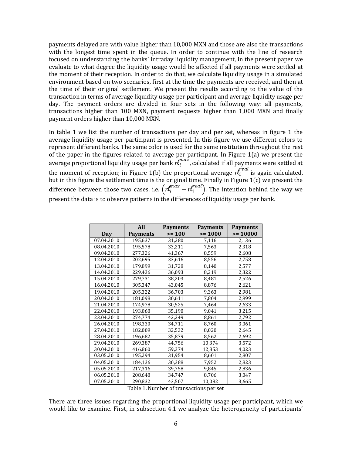payments delayed are with value higher than 10,000 MXN and those are also the transactions with the longest time spent in the queue. In order to continue with the line of research focused on understanding the banks' intraday liquidity management, in the present paper we evaluate to what degree the liquidity usage would be affected if all payments were settled at the moment of their reception. In order to do that, we calculate liquidity usage in a simulated environment based on two scenarios, first at the time the payments are received, and then at the time of their original settlement. We present the results according to the value of the transaction in terms of average liquidity usage per participant and average liquidity usage per day. The payment orders are divided in four sets in the following way: all payments, transactions higher than 100 MXN, payment requests higher than 1,000 MXN and finally payment orders higher than 10,000 MXN.

In table 1 we list the number of transactions per day and per set, whereas in figure 1 the average liquidity usage per participant is presented. In this figure we use different colors to represent different banks. The same color is used for the same institution throughout the rest of the paper in the figures related to average per participant. In Figure 1(a) we present the average proportional liquidity usage per bank  $r \ell_i^{max}$ , calculated if all payments were settled at the moment of reception; in Figure 1(b) the proportional average  $r^{real}_{i}$  is again calculated, but in this figure the settlement time is the original time. Finally in Figure 1(c) we present the difference between those two cases, i.e.  $\left( r \mathcal{L}_i^{max} - r \mathcal{L}_i^{real} \right)$ . The intention behind the way we present the data is to observe patterns in the differences of liquidity usage per bank.

|            | All             | <b>Payments</b> | <b>Payments</b> | <b>Payments</b> |
|------------|-----------------|-----------------|-----------------|-----------------|
| Day        | <b>Payments</b> | $>= 100$        | $>= 1000$       | $>= 10000$      |
| 07.04.2010 | 195,637         | 31,280          | 7,116           | 2,136           |
| 08.04.2010 | 195,578         | 33,211          | 7,563           | 2,318           |
| 09.04.2010 | 277,326         | 41,367          | 8,559           | 2,608           |
| 12.04.2010 | 202,695         | 33,616          | 8,556           | 2,758           |
| 13.04.2010 | 179,899         | 31,728          | 8,140           | 2,577           |
| 14.04.2010 | 229,436         | 36,093          | 8,219           | 2,322           |
| 15.04.2010 | 279,731         | 38,203          | 8,481           | 2,526           |
| 16.04.2010 | 305,347         | 43,045          | 8,876           | 2,621           |
| 19.04.2010 | 205,322         | 36,703          | 9,363           | 2,981           |
| 20.04.2010 | 181,098         | 30,611          | 7,804           | 2,999           |
| 21.04.2010 | 174,978         | 30,525          | 7,464           | 2,633           |
| 22.04.2010 | 193,068         | 35,190          | 9,041           | 3,215           |
| 23.04.2010 | 274,774         | 42,249          | 8,861           | 2,792           |
| 26.04.2010 | 198,330         | 34,711          | 8,760           | 3,061           |
| 27.04.2010 | 182,009         | 32,532          | 8,020           | 2,645           |
| 28.04.2010 | 196,682         | 35,879          | 8,562           | 2,692           |
| 29.04.2010 | 269,387         | 44,756          | 10,374          | 3,572           |
| 30.04.2010 | 416,860         | 59,374          | 12,853          | 4,023           |
| 03.05.2010 | 195,294         | 31,954          | 8,601           | 2,807           |
| 04.05.2010 | 184,136         | 30,388          | 7,952           | 2,823           |
| 05.05.2010 | 217,316         | 39,758          | 9,845           | 2,836           |
| 06.05.2010 | 208,648         | 34,747          | 8,706           | 3,047           |
| 07.05.2010 | 290,832         | 43,507          | 10,082          | 3,665           |

Table 1. Number of transactions per set

There are three issues regarding the proportional liquidity usage per participant, which we would like to examine. First, in subsection 4.1 we analyze the heterogeneity of participants'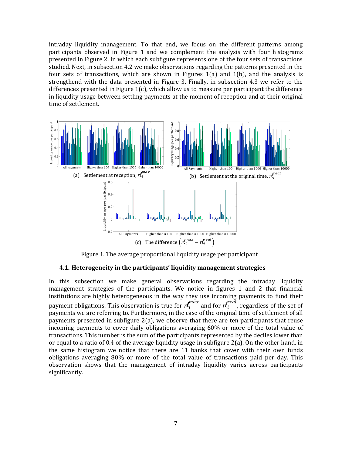intraday liquidity management. To that end, we focus on the different patterns among participants observed in Figure 1 and we complement the analysis with four histograms presented in Figure 2, in which each subfigure represents one of the four sets of transactions studied. Next, in subsection 4.2 we make observations regarding the patterns presented in the four sets of transactions, which are shown in Figures  $1(a)$  and  $1(b)$ , and the analysis is strengthend with the data presented in Figure 3. Finally, in subsection 4.3 we refer to the differences presented in Figure  $1(c)$ , which allow us to measure per participant the difference in liquidity usage between settling payments at the moment of reception and at their original time of settlement.



Figure 1. The average proportional liquidity usage per participant

#### **4.1. Heterogeneity in the participants' liquidity management strategies**

In this subsection we make general observations regarding the intraday liquidity management strategies of the participants. We notice in figures 1 and 2 that financial institutions are highly heterogeneous in the way they use incoming payments to fund their payment obligations. This observation is true for  $r \ell_i^{max}$  and for  $r \ell_i^{real}$ , regardless of the set of payments we are referring to. Furthermore, in the case of the original time of settlement of all payments presented in subfigure  $2(a)$ , we observe that there are ten participants that reuse incoming payments to cover daily obligations averaging 60% or more of the total value of transactions. This number is the sum of the participants represented by the deciles lower than or equal to a ratio of 0.4 of the average liquidity usage in subfigure  $2(a)$ . On the other hand, in the same histogram we notice that there are 11 banks that cover with their own funds obligations averaging 80% or more of the total value of transactions paid per day. This observation shows that the management of intraday liquidity varies across participants significantly.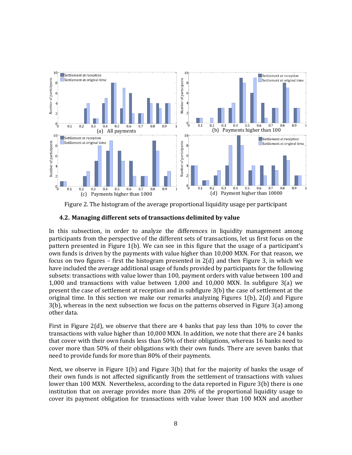

Figure 2. The histogram of the average proportional liquidity usage per participant

### **4.2. Managing different sets of transactions delimited by value**

In this subsection, in order to analyze the differences in liquidity management among participants from the perspective of the different sets of transactions, let us first focus on the pattern presented in Figure 1(b). We can see in this figure that the usage of a participant's own funds is driven by the payments with value higher than 10,000 MXN. For that reason, we focus on two figures – first the histogram presented in 2(d) and then Figure 3, in which we have included the average additional usage of funds provided by participants for the following subsets: transactions with value lower than 100, payment orders with value between 100 and 1,000 and transactions with value between 1,000 and 10,000 MXN. In subfigure 3(a) we present the case of settlement at reception and in subfigure 3(b) the case of settlement at the original time. In this section we make our remarks analyzing Figures 1(b), 2(d) and Figure 3(b), whereas in the next subsection we focus on the patterns observed in Figure 3(a) among other data.

First in Figure 2(d), we observe that there are 4 banks that pay less than 10% to cover the transactions with value higher than 10,000 MXN. In addition, we note that there are 24 banks that cover with their own funds less than 50% of their obligations, whereas 16 banks need to cover more than 50% of their obligations with their own funds. There are seven banks that need to provide funds for more than 80% of their payments.

Next, we observe in Figure 1(b) and Figure 3(b) that for the majority of banks the usage of their own funds is not affected significantly from the settlement of transactions with values lower than 100 MXN. Nevertheless, according to the data reported in Figure 3(b) there is one institution that on average provides more than 20% of the proportional liquidity usage to cover its payment obligation for transactions with value lower than 100 MXN and another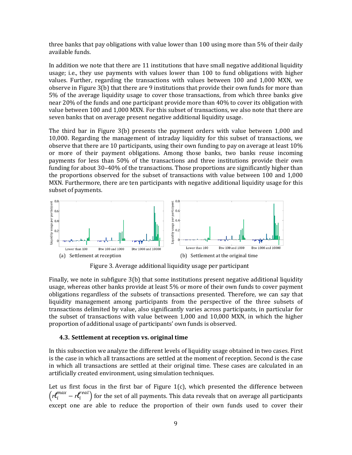three banks that pay obligations with value lower than 100 using more than 5% of their daily available funds.

In addition we note that there are 11 institutions that have small negative additional liquidity usage; i.e., they use payments with values lower than 100 to fund obligations with higher values. Further, regarding the transactions with values between 100 and 1,000 MXN, we observe in Figure 3(b) that there are 9 institutions that provide their own funds for more than 5% of the average liquidity usage to cover those transactions, from which three banks give near 20% of the funds and one participant provide more than 40% to cover its obligation with value between 100 and 1,000 MXN. For this subset of transactions, we also note that there are seven banks that on average present negative additional liquidity usage.

The third bar in Figure 3(b) presents the payment orders with value between 1,000 and 10,000. Regarding the management of intraday liquidity for this subset of transactions, we observe that there are 10 participants, using their own funding to pay on average at least 10% or more of their payment obligations. Among those banks, two banks reuse incoming payments for less than 50% of the transactions and three institutions provide their own funding for about 30–40% of the transactions. Those proportions are significantly higher than the proportions observed for the subset of transactions with value between 100 and 1,000 MXN. Furthermore, there are ten participants with negative additional liquidity usage for this subset of payments.



Figure 3. Average additional liquidity usage per participant

Finally, we note in subfigure 3(b) that some institutions present negative additional liquidity usage, whereas other banks provide at least 5% or more of their own funds to cover payment obligations regardless of the subsets of transactions presented. Therefore, we can say that liquidity management among participants from the perspective of the three subsets of transactions delimited by value, also significantly varies across participants, in particular for the subset of transactions with value between 1,000 and 10,000 MXN, in which the higher proportion of additional usage of participants' own funds is observed.

#### **4.3. Settlement at reception vs. original time**

In this subsection we analyze the different levels of liquidity usage obtained in two cases. First is the case in which all transactions are settled at the moment of reception. Second is the case in which all transactions are settled at their original time. These cases are calculated in an artificially created environment, using simulation techniques.

Let us first focus in the first bar of Figure  $1(c)$ , which presented the difference between  $\left( r t_i^{max} - r t_i^{real} \right)$  for the set of all payments. This data reveals that on average all participants except one are able to reduce the proportion of their own funds used to cover their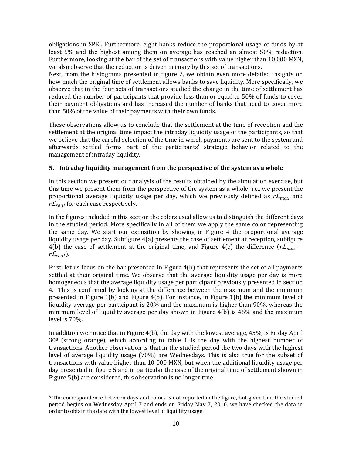obligations in SPEI. Furthermore, eight banks reduce the proportional usage of funds by at least 5% and the highest among them on average has reached an almost 50% reduction. Furthermore, looking at the bar of the set of transactions with value higher than 10,000 MXN, we also observe that the reduction is driven primary by this set of transactions.

Next, from the histograms presented in figure 2, we obtain even more detailed insights on how much the original time of settlement allows banks to save liquidity. More specifically, we observe that in the four sets of transactions studied the change in the time of settlement has reduced the number of participants that provide less than or equal to 50% of funds to cover their payment obligations and has increased the number of banks that need to cover more than 50% of the value of their payments with their own funds.

These observations allow us to conclude that the settlement at the time of reception and the settlement at the original time impact the intraday liquidity usage of the participants, so that we believe that the careful selection of the time in which payments are sent to the system and afterwards settled forms part of the participants' strategic behavior related to the management of intraday liquidity.

## **5. Intraday liquidity management from the perspective of the system as a whole**

In this section we present our analysis of the results obtained by the simulation exercise, but this time we present them from the perspective of the system as a whole; i.e., we present the proportional average liquidity usage per day, which we previously defined as  $rL_{max}$  and  $r \mathcal{L}_{real}$  for each case respectively.

In the figures included in this section the colors used allow us to distinguish the different days in the studied period. More specifically in all of them we apply the same color representing the same day. We start our exposition by showing in Figure 4 the proportional average liquidity usage per day. Subfigure 4(a) presents the case of settlement at reception, subfigure 4(b) the case of settlement at the original time, and Figure 4(c) the difference  $(r\mathcal{L}_{max}$  –  $r \mathcal{L}_{real}$ ).

First, let us focus on the bar presented in Figure 4(b) that represents the set of all payments settled at their original time. We observe that the average liquidity usage per day is more homogeneous that the average liquidity usage per participant previously presented in section 4. This is confirmed by looking at the difference between the maximum and the minimum presented in Figure 1(b) and Figure 4(b). For instance, in Figure 1(b) the minimum level of liquidity average per participant is 20% and the maximum is higher than 90%, whereas the minimum level of liquidity average per day shown in Figure 4(b) is 45% and the maximum level is 70%.

In addition we notice that in Figure 4(b), the day with the lowest average, 45%, is Friday April 30<sup>8</sup> (strong orange), which according to table 1 is the day with the highest number of transactions. Another observation is that in the studied period the two days with the highest level of average liquidity usage (70%) are Wednesdays. This is also true for the subset of transactions with value higher than 10 000 MXN, but when the additional liquidity usage per day presented in figure 5 and in particular the case of the original time of settlement shown in Figure 5(b) are considered, this observation is no longer true.

 $\overline{\phantom{a}}$ <sup>8</sup> The correspondence between days and colors is not reported in the figure, but given that the studied period begins on Wednesday April 7 and ends on Friday May 7, 2010, we have checked the data in order to obtain the date with the lowest level of liquidity usage.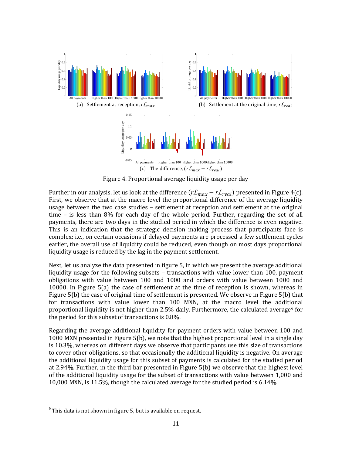

Figure 4. Proportional average liquidity usage per day

Further in our analysis, let us look at the difference  $(r\mathcal{L}_{max} - r\mathcal{L}_{real})$  presented in Figure 4(c). First, we observe that at the macro level the proportional difference of the average liquidity usage between the two case studies – settlement at reception and settlement at the original time – is less than 8% for each day of the whole period. Further, regarding the set of all payments, there are two days in the studied period in which the difference is even negative. This is an indication that the strategic decision making process that participants face is complex; i.e., on certain occasions if delayed payments are processed a few settlement cycles earlier, the overall use of liquidity could be reduced, even though on most days proportional liquidity usage is reduced by the lag in the payment settlement.

Next, let us analyze the data presented in figure 5, in which we present the average additional liquidity usage for the following subsets – transactions with value lower than 100, payment obligations with value between 100 and 1000 and orders with value between 1000 and 10000. In Figure 5(a) the case of settlement at the time of reception is shown, whereas in Figure 5(b) the case of original time of settlement is presented. We observe in Figure 5(b) that for transactions with value lower than 100 MXN, at the macro level the additional proportional liquidity is not higher than 2.5% daily. Furthermore, the calculated average<sup>9</sup> for the period for this subset of transactions is 0.8%.

Regarding the average additional liquidity for payment orders with value between 100 and 1000 MXN presented in Figure 5(b), we note that the highest proportional level in a single day is 10.3%, whereas on different days we observe that participants use this size of transactions to cover other obligations, so that occasionally the additional liquidity is negative. On average the additional liquidity usage for this subset of payments is calculated for the studied period at 2.94%. Further, in the third bar presented in Figure 5(b) we observe that the highest level of the additional liquidity usage for the subset of transactions with value between 1,000 and 10,000 MXN, is 11.5%, though the calculated average for the studied period is 6.14%.

 $\overline{\phantom{a}}$ 

 $^9$  This data is not shown in figure 5, but is available on request.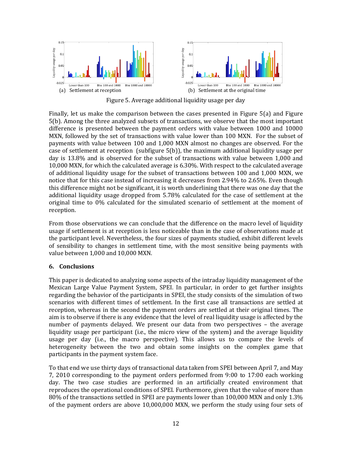

Figure 5. Average additional liquidity usage per day

Finally, let us make the comparison between the cases presented in Figure 5(a) and Figure 5(b). Among the three analyzed subsets of transactions, we observe that the most important difference is presented between the payment orders with value between 1000 and 10000 MXN, followed by the set of transactions with value lower than 100 MXN. For the subset of payments with value between 100 and 1,000 MXN almost no changes are observed. For the case of settlement at reception (subfigure 5(b)), the maximum additional liquidity usage per day is 13.8% and is observed for the subset of transactions with value between 1,000 and 10,000 MXN, for which the calculated average is 6.30%. With respect to the calculated average of additional liquidity usage for the subset of transactions between 100 and 1,000 MXN, we notice that for this case instead of increasing it decreases from 2.94% to 2.65%. Even though this difference might not be significant, it is worth underlining that there was one day that the additional liquidity usage dropped from 5.78% calculated for the case of settlement at the original time to 0% calculated for the simulated scenario of settlement at the moment of reception.

From those observations we can conclude that the difference on the macro level of liquidity usage if settlement is at reception is less noticeable than in the case of observations made at the participant level. Nevertheless, the four sizes of payments studied, exhibit different levels of sensibility to changes in settlement time, with the most sensitive being payments with value between 1,000 and 10,000 MXN.

#### **6. Conclusions**

This paper is dedicated to analyzing some aspects of the intraday liquidity management of the Mexican Large Value Payment System, SPEI. In particular, in order to get further insights regarding the behavior of the participants in SPEI, the study consists of the simulation of two scenarios with different times of settlement. In the first case all transactions are settled at reception, whereas in the second the payment orders are settled at their original times. The aim is to observe if there is any evidence that the level of real liquidity usage is affected by the number of payments delayed. We present our data from two perspectives – the average liquidity usage per participant (i.e., the micro view of the system) and the average liquidity usage per day (i.e., the macro perspective). This allows us to compare the levels of heterogeneity between the two and obtain some insights on the complex game that participants in the payment system face.

To that end we use thirty days of transactional data taken from SPEI between April 7, and May 7, 2010 corresponding to the payment orders performed from 9:00 to 17:00 each working day. The two case studies are performed in an artificially created environment that reproduces the operational conditions of SPEI. Furthermore, given that the value of more than 80% of the transactions settled in SPEI are payments lower than 100,000 MXN and only 1.3% of the payment orders are above 10,000,000 MXN, we perform the study using four sets of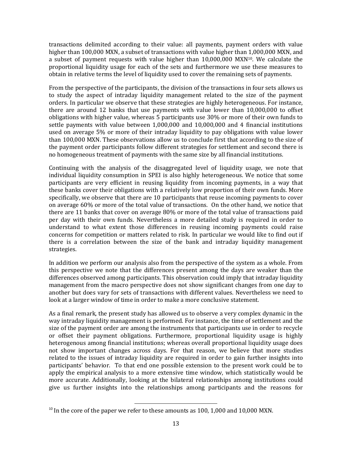transactions delimited according to their value: all payments, payment orders with value higher than 100,000 MXN, a subset of transactions with value higher than 1,000,000 MXN, and a subset of payment requests with value higher than  $10,000,000$  MXN<sup>10</sup>. We calculate the proportional liquidity usage for each of the sets and furthermore we use these measures to obtain in relative terms the level of liquidity used to cover the remaining sets of payments.

From the perspective of the participants, the division of the transactions in four sets allows us to study the aspect of intraday liquidity management related to the size of the payment orders. In particular we observe that these strategies are highly heterogeneous. For instance, there are around 12 banks that use payments with value lower than 10,000,000 to offset obligations with higher value, whereas 5 participants use 30% or more of their own funds to settle payments with value between 1,000,000 and 10,000,000 and 4 financial institutions used on average 5% or more of their intraday liquidity to pay obligations with value lower than 100,000 MXN. These observations allow us to conclude first that according to the size of the payment order participants follow different strategies for settlement and second there is no homogeneous treatment of payments with the same size by all financial institutions.

Continuing with the analysis of the disaggregated level of liquidity usage, we note that individual liquidity consumption in SPEI is also highly heterogeneous. We notice that some participants are very efficient in reusing liquidity from incoming payments, in a way that these banks cover their obligations with a relatively low proportion of their own funds. More specifically, we observe that there are 10 participants that reuse incoming payments to cover on average 60% or more of the total value of transactions. On the other hand, we notice that there are 11 banks that cover on average 80% or more of the total value of transactions paid per day with their own funds. Nevertheless a more detailed study is required in order to understand to what extent those differences in reusing incoming payments could raise concerns for competition or matters related to risk. In particular we would like to find out if there is a correlation between the size of the bank and intraday liquidity management strategies.

In addition we perform our analysis also from the perspective of the system as a whole. From this perspective we note that the differences present among the days are weaker than the differences observed among participants. This observation could imply that intraday liquidity management from the macro perspective does not show significant changes from one day to another but does vary for sets of transactions with different values. Nevertheless we need to look at a larger window of time in order to make a more conclusive statement.

As a final remark, the present study has allowed us to observe a very complex dynamic in the way intraday liquidity management is performed. For instance, the time of settlement and the size of the payment order are among the instruments that participants use in order to recycle or offset their payment obligations. Furthermore, proportional liquidity usage is highly heterogenous among financial institutions; whereas overall proportional liquidity usage does not show important changes across days. For that reason, we believe that more studies related to the issues of intraday liquidity are required in order to gain further insights into participants' behavior. To that end one possible extension to the present work could be to apply the empirical analysis to a more extensive time window, which statistically would be more accurate. Additionally, looking at the bilateral relationships among institutions could give us further insights into the relationships among participants and the reasons for

l

 $10$  In the core of the paper we refer to these amounts as 100, 1,000 and 10,000 MXN.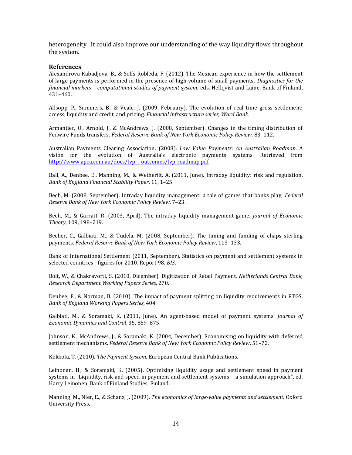heterogeneity. It could also improve our understanding of the way liquidity flows throughout the system.

#### **References**

Alexandrova-Kabadjova, B., & Solís-Robleda, F. (2012). The Mexican experience in how the settlement of large payments is performed in the presence of high volume of small payments. *Diagnostics for the financial markets – computational studies of payment system*, eds. Hellqvist and Laine, Bank of Finland, 431–460.

Allsopp, P., Summers, B., & Veale, J. (2009, February). The evolution of real time gross settlement: access, liquidity and credit, and pricing. *Financial infrastructure series, Word Bank*.

Armantier, O., Arnold, J., & McAndrews, J. (2008, September). Changes in the timing distribution of Fedwire Funds transfers. *Federal Reserve Bank of New York Economic Policy Review*, 83–112.

Australian Payments Clearing Association. (2008). *Low Value Payments: An Australian Roadmap*. A vision for the evolution of Australia's electronic payments systems. Retrieved from <http://www.apca.com.au/docs/lvp---outcomes/lvp-roadmap.pdf>

Ball, A., Denbee, E., Manning, M., & Wetherilt, A. (2011, June). Intraday liquidity: risk and regulation. *Bank of England Financial Stability Paper*, 11, 1–25.

Bech, M. (2008, September). Intraday liquidity management: a tale of games that banks play, *Federal Reserve Bank of New York Economic Policy Review*, 7–23.

Bech, M., & Garratt, R. (2003, April). The intraday liquidity management game. *Journal of Economic Theory*, 109, 198–219.

Becher, C., Galbiati, M., & Tudela, M. (2008, September). The timing and funding of chaps sterling payments. *Federal Reserve Bank of New York Economic Policy Review*, 113–133.

Bank of International Settlement (2011, September). Statistics on payment and settlement systems in selected countries - figures for 2010. Report 98, *BIS*.

Bolt, W., & Chakravorti, S. (2010, Dicember). Digitization of Retail Payment*. Netherlands Central Bank, Research Department Working Papers Series*, 270.

Denbee, E., & Norman, B. (2010). The impact of payment splitting on liquidity requirements in RTGS. *Bank of England Working Papers Series,* 404.

Galbiati, M., & Soramaki, K. (2011, June). An agent-based model of payment systems. *Journal of Economic Dynamics and Control*, 35, 859–875.

Johnson, K., McAndrews, J., & Soramaki, K. (2004, December). Economising on liquidity with deferred settlement mechanisms. *Federal Reserve Bank of New York Economic Policy Review*, 51–72.

Kokkola, T. (2010). *The Payment System*. European Central Bank Publications.

Leinonen, H., & Soramaki, K. (2005). Optimizing liquidity usage and settlement speed in payment systems in "Liquidity, risk and speed in payment and settlement systems – a simulation approach", ed. Harry Leinonen, Bank of Finland Studies, Finland.

Manning, M., Nier, E., & Schanz, J. (2009). *The economics of large-value payments and settlement*. Oxford University Press.